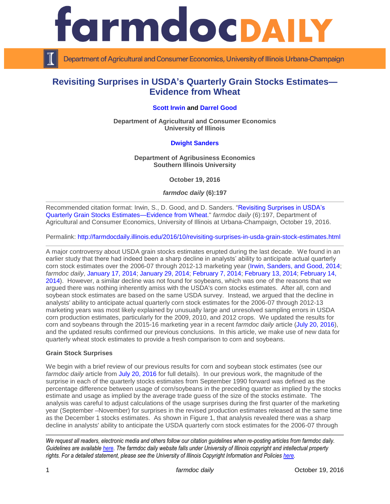

Department of Agricultural and Consumer Economics, University of Illinois Urbana-Champaign

# **Revisiting Surprises in USDA's Quarterly Grain Stocks Estimates— Evidence from Wheat**

## **[Scott Irwin](http://www.farmdoc.illinois.edu/irwin/) and [Darrel Good](http://farmdoc.illinois.edu/good/)**

**Department of Agricultural and Consumer Economics University of Illinois**

# **[Dwight Sanders](http://coas.siu.edu/people/faculty/agribusiness-economics/sanders.html)**

**Department of Agribusiness Economics Southern Illinois University**

**October 19, 2016**

*farmdoc daily* **(6):197**

Recommended citation format: Irwin, S., D. Good, and D. Sanders. ["Revisiting Surprises in USDA's](http://farmdocdaily.illinois.edu/2016/10/revisiting-surprises-in-usda-grain-stock-estimates.html)  [Quarterly Grain Stocks Estimates—Evidence from Wheat.](http://farmdocdaily.illinois.edu/2016/10/revisiting-surprises-in-usda-grain-stock-estimates.html)" *farmdoc daily* (6):197, Department of Agricultural and Consumer Economics, University of Illinois at Urbana-Champaign, October 19, 2016.

Permalink: <http://farmdocdaily.illinois.edu/2016/10/revisiting-surprises-in-usda-grain-stock-estimates.html>

A major controversy about USDA grain stocks estimates erupted during the last decade. We found in an earlier study that there had indeed been a sharp decline in analysts' ability to anticipate actual quarterly corn stock estimates over the 2006-07 through 2012-13 marketing year [\(Irwin, Sanders, and Good, 2014;](http://farmdoc.illinois.edu/marketing/morr/morr_14-01/MORR_14-01.pdf) *farmdoc daily*, [January 17, 2014;](http://farmdocdaily.illinois.edu/2014/01/evaluation-usda-waob-nass-forecasts-estimates-corn-soybeans.html) January [29, 2014;](http://farmdocdaily.illinois.edu/2014/01/problem-with-usda-grain-stocks-estimates-in-corn.html) [February 7, 2014;](http://farmdocdaily.illinois.edu/2014/02/explanations-for-recent-surprise-USDA-corn-stocks-estimates.html) [February 13, 2014;](http://farmdocdaily.illinois.edu/2014/02/the-role-of-sampling-errors-in-usda-corn-stocks-estimates-part1.html) [February 14,](http://farmdocdaily.illinois.edu/2014/02/the-role-of-sampling-errors-in-usda-corn-stocks-estimates-part2.html)  [2014\)](http://farmdocdaily.illinois.edu/2014/02/the-role-of-sampling-errors-in-usda-corn-stocks-estimates-part2.html). However, a similar decline was not found for soybeans, which was one of the reasons that we argued there was nothing inherently amiss with the USDA's corn stocks estimates. After all, corn and soybean stock estimates are based on the same USDA survey. Instead, we argued that the decline in analysts' ability to anticipate actual quarterly corn stock estimates for the 2006-07 through 2012-13 marketing years was most likely explained by unusually large and unresolved sampling errors in USDA corn production estimates, particularly for the 2009, 2010, and 2012 crops. We updated the results for corn and soybeans through the 2015-16 marketing year in a recent *farmdoc daily* article [\(July 20, 2016\)](http://farmdocdaily.illinois.edu/2016/07/revisiting-usda-corn-and-soybean-grain-stocks.html), and the updated results confirmed our previous conclusions. In this article, we make use of new data for quarterly wheat stock estimates to provide a fresh comparison to corn and soybeans.

#### **Grain Stock Surprises**

We begin with a brief review of our previous results for corn and soybean stock estimates (see our *farmdoc daily* article from [July 20, 2016](http://farmdocdaily.illinois.edu/2016/07/revisiting-usda-corn-and-soybean-grain-stocks.html) for full details). In our previous work, the magnitude of the surprise in each of the quarterly stocks estimates from September 1990 forward was defined as the percentage difference between usage of corn/soybeans in the preceding quarter as implied by the stocks estimate and usage as implied by the average trade guess of the size of the stocks estimate. The analysis was careful to adjust calculations of the usage surprises during the first quarter of the marketing year (September –November) for surprises in the revised production estimates released at the same time as the December 1 stocks estimates. As shown in Figure 1, that analysis revealed there was a sharp decline in analysts' ability to anticipate the USDA quarterly corn stock estimates for the 2006-07 through

*We request all readers, electronic media and others follow our citation guidelines when re-posting articles from farmdoc daily. Guidelines are available [here.](http://farmdocdaily.illinois.edu/citationguide.html) The farmdoc daily website falls under University of Illinois copyright and intellectual property rights. For a detailed statement, please see the University of Illinois Copyright Information and Policies [here.](http://www.cio.illinois.edu/policies/copyright/)*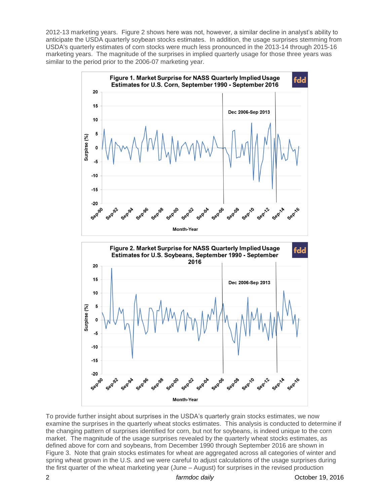2012-13 marketing years. Figure 2 shows here was not, however, a similar decline in analyst's ability to anticipate the USDA quarterly soybean stocks estimates. In addition, the usage surprises stemming from USDA's quarterly estimates of corn stocks were much less pronounced in the 2013-14 through 2015-16 marketing years. The magnitude of the surprises in implied quarterly usage for those three years was similar to the period prior to the 2006-07 marketing year.



To provide further insight about surprises in the USDA's quarterly grain stocks estimates, we now examine the surprises in the quarterly wheat stocks estimates. This analysis is conducted to determine if the changing pattern of surprises identified for corn, but not for soybeans, is indeed unique to the corn market. The magnitude of the usage surprises revealed by the quarterly wheat stocks estimates, as defined above for corn and soybeans, from December 1990 through September 2016 are shown in Figure 3. Note that grain stocks estimates for wheat are aggregated across all categories of winter and spring wheat grown in the U.S. and we were careful to adjust calculations of the usage surprises during the first quarter of the wheat marketing year (June – August) for surprises in the revised production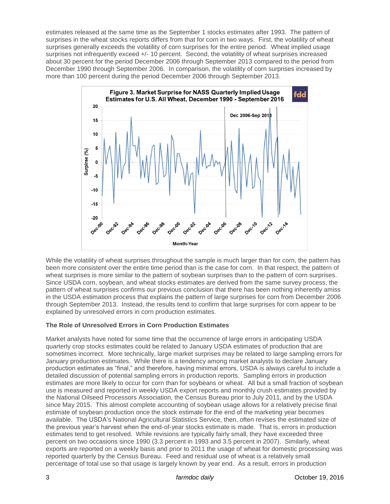estimates released at the same time as the September 1 stocks estimates after 1993. The pattern of surprises in the wheat stocks reports differs from that for corn in two ways. First, the volatility of wheat surprises generally exceeds the volatility of corn surprises for the entire period. Wheat implied usage surprises not infrequently exceed +/- 10 percent. Second, the volatility of wheat surprises increased about 30 percent for the period December 2006 through September 2013 compared to the period from December 1990 through September 2006. In comparison, the volatility of corn surprises increased by more than 100 percent during the period December 2006 through September 2013.



While the volatility of wheat surprises throughout the sample is much larger than for corn, the pattern has been more consistent over the entire time period than is the case for corn. In that respect, the pattern of wheat surprises is more similar to the pattern of soybean surprises than to the pattern of corn surprises. Since USDA corn, soybean, and wheat stocks estimates are derived from the same survey process, the pattern of wheat surprises confirms our previous conclusion that there has been nothing inherently amiss in the USDA estimation process that explains the pattern of large surprises for corn from December 2006 through September 2013. Instead, the results tend to confirm that large surprises for corn appear to be explained by unresolved errors in corn production estimates.

## **The Role of Unresolved Errors in Corn Production Estimates**

Market analysts have noted for some time that the occurrence of large errors in anticipating USDA quarterly crop stocks estimates could be related to January USDA estimates of production that are sometimes incorrect. More technically, large market surprises may be related to large sampling errors for January production estimates. While there is a tendency among market analysts to declare January production estimates as "final," and therefore, having minimal errors, USDA is always careful to include a detailed discussion of potential sampling errors in production reports. Sampling errors in production estimates are more likely to occur for corn than for soybeans or wheat. All but a small fraction of soybean use is measured and reported in weekly USDA export reports and monthly crush estimates provided by the National Oilseed Processors Association, the Census Bureau prior to July 2011, and by the USDA since May 2015. This almost complete accounting of soybean usage allows for a relatively precise final estimate of soybean production once the stock estimate for the end of the marketing year becomes available. The USDA's National Agricultural Statistics Service, then, often revises the estimated size of the previous year's harvest when the end-of-year stocks estimate is made. That is, errors in production estimates tend to get resolved. While revisions are typically fairly small, they have exceeded three percent on two occasions since 1990 (3.3 percent in 1993 and 3.5 percent in 2007). Similarly, wheat exports are reported on a weekly basis and prior to 2011 the usage of wheat for domestic processing was reported quarterly by the Census Bureau. Feed and residual use of wheat is a relatively small percentage of total use so that usage is largely known by year end. As a result, errors in production